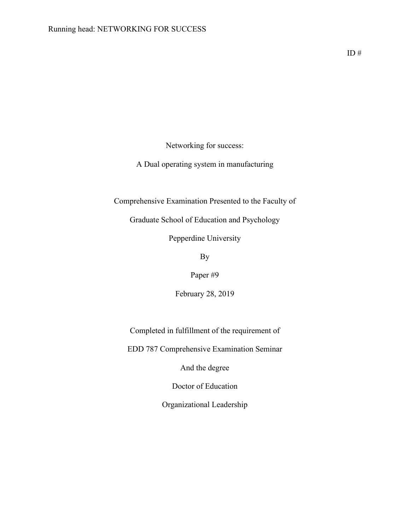Networking for success:

A Dual operating system in manufacturing

Comprehensive Examination Presented to the Faculty of

Graduate School of Education and Psychology

Pepperdine University

By

Paper #9

February 28, 2019

Completed in fulfillment of the requirement of

EDD 787 Comprehensive Examination Seminar

And the degree

Doctor of Education

Organizational Leadership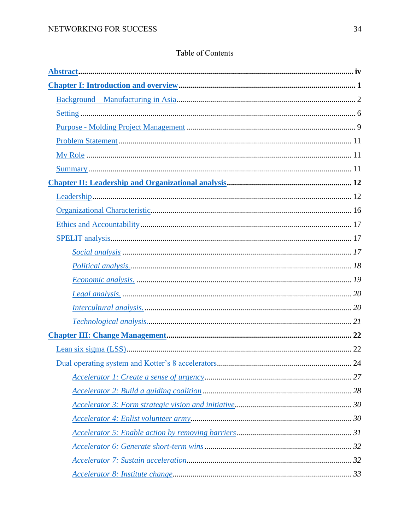# Table of Contents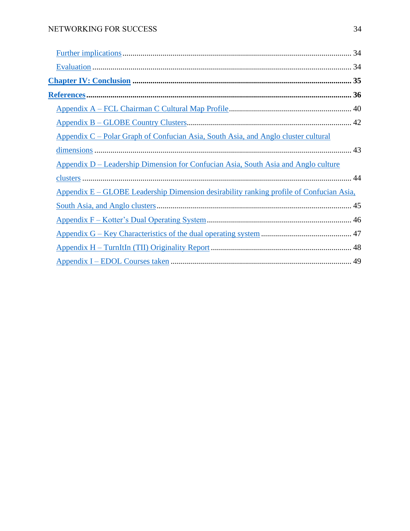| <u> Appendix C – Polar Graph of Confucian Asia, South Asia, and Anglo cluster cultural</u>     |  |
|------------------------------------------------------------------------------------------------|--|
|                                                                                                |  |
| Appendix D – Leadership Dimension for Confucian Asia, South Asia and Anglo culture             |  |
|                                                                                                |  |
| <u>Appendix E – GLOBE Leadership Dimension desirability ranking profile of Confucian Asia.</u> |  |
|                                                                                                |  |
|                                                                                                |  |
|                                                                                                |  |
|                                                                                                |  |
|                                                                                                |  |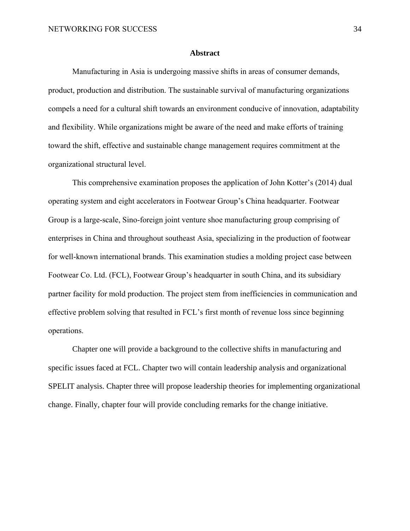#### **Abstract**

<span id="page-3-0"></span>Manufacturing in Asia is undergoing massive shifts in areas of consumer demands, product, production and distribution. The sustainable survival of manufacturing organizations compels a need for a cultural shift towards an environment conducive of innovation, adaptability and flexibility. While organizations might be aware of the need and make efforts of training toward the shift, effective and sustainable change management requires commitment at the organizational structural level.

This comprehensive examination proposes the application of John Kotter's (2014) dual operating system and eight accelerators in Footwear Group's China headquarter. Footwear Group is a large-scale, Sino-foreign joint venture shoe manufacturing group comprising of enterprises in China and throughout southeast Asia, specializing in the production of footwear for well-known international brands. This examination studies a molding project case between Footwear Co. Ltd. (FCL), Footwear Group's headquarter in south China, and its subsidiary partner facility for mold production. The project stem from inefficiencies in communication and effective problem solving that resulted in FCL's first month of revenue loss since beginning operations.

Chapter one will provide a background to the collective shifts in manufacturing and specific issues faced at FCL. Chapter two will contain leadership analysis and organizational SPELIT analysis. Chapter three will propose leadership theories for implementing organizational change. Finally, chapter four will provide concluding remarks for the change initiative.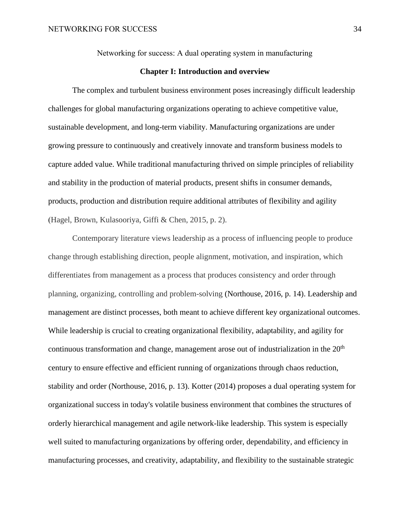Networking for success: A dual operating system in manufacturing

## **Chapter I: Introduction and overview**

<span id="page-4-0"></span>The complex and turbulent business environment poses increasingly difficult leadership challenges for global manufacturing organizations operating to achieve competitive value, sustainable development, and long-term viability. Manufacturing organizations are under growing pressure to continuously and creatively innovate and transform business models to capture added value. While traditional manufacturing thrived on simple principles of reliability and stability in the production of material products, present shifts in consumer demands, products, production and distribution require additional attributes of flexibility and agility (Hagel, Brown, Kulasooriya, Giffi & Chen, 2015, p. 2).

Contemporary literature views leadership as a process of influencing people to produce change through establishing direction, people alignment, motivation, and inspiration, which differentiates from management as a process that produces consistency and order through planning, organizing, controlling and problem-solving (Northouse, 2016, p. 14). Leadership and management are distinct processes, both meant to achieve different key organizational outcomes. While leadership is crucial to creating organizational flexibility, adaptability, and agility for continuous transformation and change, management arose out of industrialization in the  $20<sup>th</sup>$ century to ensure effective and efficient running of organizations through chaos reduction, stability and order (Northouse, 2016, p. 13). Kotter (2014) proposes a dual operating system for organizational success in today's volatile business environment that combines the structures of orderly hierarchical management and agile network-like leadership. This system is especially well suited to manufacturing organizations by offering order, dependability, and efficiency in manufacturing processes, and creativity, adaptability, and flexibility to the sustainable strategic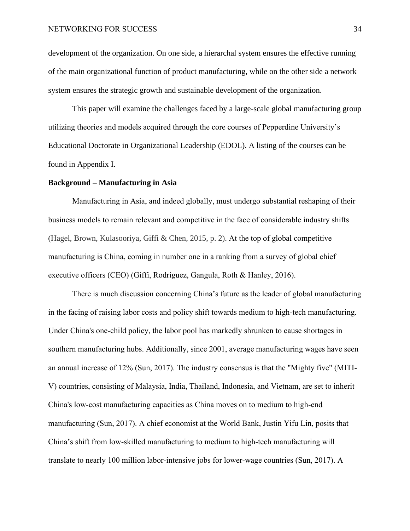development of the organization. On one side, a hierarchal system ensures the effective running of the main organizational function of product manufacturing, while on the other side a network system ensures the strategic growth and sustainable development of the organization.

This paper will examine the challenges faced by a large-scale global manufacturing group utilizing theories and models acquired through the core courses of Pepperdine University's Educational Doctorate in Organizational Leadership (EDOL). A listing of the courses can be found in Appendix I.

#### <span id="page-5-0"></span>**Background – Manufacturing in Asia**

Manufacturing in Asia, and indeed globally, must undergo substantial reshaping of their business models to remain relevant and competitive in the face of considerable industry shifts (Hagel, Brown, Kulasooriya, Giffi & Chen, 2015, p. 2). At the top of global competitive manufacturing is China, coming in number one in a ranking from a survey of global chief executive officers (CEO) (Giffi, Rodriguez, Gangula, Roth & Hanley, 2016).

There is much discussion concerning China's future as the leader of global manufacturing in the facing of raising labor costs and policy shift towards medium to high-tech manufacturing. Under China's one-child policy, the labor pool has markedly shrunken to cause shortages in southern manufacturing hubs. Additionally, since 2001, average manufacturing wages have seen an annual increase of 12% (Sun, 2017). The industry consensus is that the "Mighty five" (MITI-V) countries, consisting of Malaysia, India, Thailand, Indonesia, and Vietnam, are set to inherit China's low-cost manufacturing capacities as China moves on to medium to high-end manufacturing (Sun, 2017). A chief economist at the World Bank, Justin Yifu Lin, posits that China's shift from low-skilled manufacturing to medium to high-tech manufacturing will translate to nearly 100 million labor-intensive jobs for lower-wage countries (Sun, 2017). A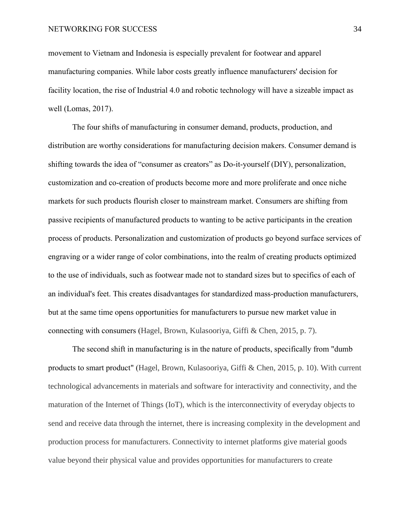movement to Vietnam and Indonesia is especially prevalent for footwear and apparel manufacturing companies. While labor costs greatly influence manufacturers' decision for facility location, the rise of Industrial 4.0 and robotic technology will have a sizeable impact as well (Lomas, 2017).

The four shifts of manufacturing in consumer demand, products, production, and distribution are worthy considerations for manufacturing decision makers. Consumer demand is shifting towards the idea of "consumer as creators" as Do-it-yourself (DIY), personalization, customization and co-creation of products become more and more proliferate and once niche markets for such products flourish closer to mainstream market. Consumers are shifting from passive recipients of manufactured products to wanting to be active participants in the creation process of products. Personalization and customization of products go beyond surface services of engraving or a wider range of color combinations, into the realm of creating products optimized to the use of individuals, such as footwear made not to standard sizes but to specifics of each of an individual's feet. This creates disadvantages for standardized mass-production manufacturers, but at the same time opens opportunities for manufacturers to pursue new market value in connecting with consumers (Hagel, Brown, Kulasooriya, Giffi & Chen, 2015, p. 7).

The second shift in manufacturing is in the nature of products, specifically from "dumb products to smart product" (Hagel, Brown, Kulasooriya, Giffi & Chen, 2015, p. 10). With current technological advancements in materials and software for interactivity and connectivity, and the maturation of the Internet of Things (IoT), which is the interconnectivity of everyday objects to send and receive data through the internet, there is increasing complexity in the development and production process for manufacturers. Connectivity to internet platforms give material goods value beyond their physical value and provides opportunities for manufacturers to create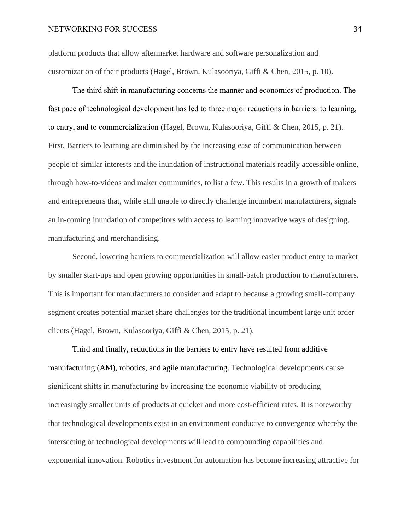platform products that allow aftermarket hardware and software personalization and customization of their products (Hagel, Brown, Kulasooriya, Giffi & Chen, 2015, p. 10).

The third shift in manufacturing concerns the manner and economics of production. The fast pace of technological development has led to three major reductions in barriers: to learning, to entry, and to commercialization (Hagel, Brown, Kulasooriya, Giffi & Chen, 2015, p. 21). First, Barriers to learning are diminished by the increasing ease of communication between people of similar interests and the inundation of instructional materials readily accessible online, through how-to-videos and maker communities, to list a few. This results in a growth of makers and entrepreneurs that, while still unable to directly challenge incumbent manufacturers, signals an in-coming inundation of competitors with access to learning innovative ways of designing, manufacturing and merchandising.

Second, lowering barriers to commercialization will allow easier product entry to market by smaller start-ups and open growing opportunities in small-batch production to manufacturers. This is important for manufacturers to consider and adapt to because a growing small-company segment creates potential market share challenges for the traditional incumbent large unit order clients (Hagel, Brown, Kulasooriya, Giffi & Chen, 2015, p. 21).

Third and finally, reductions in the barriers to entry have resulted from additive manufacturing (AM), robotics, and agile manufacturing. Technological developments cause significant shifts in manufacturing by increasing the economic viability of producing increasingly smaller units of products at quicker and more cost-efficient rates. It is noteworthy that technological developments exist in an environment conducive to convergence whereby the intersecting of technological developments will lead to compounding capabilities and exponential innovation. Robotics investment for automation has become increasing attractive for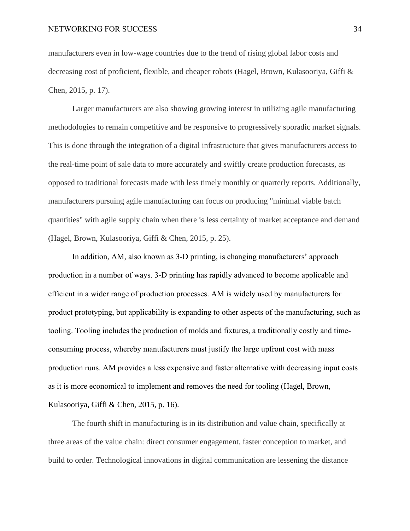manufacturers even in low-wage countries due to the trend of rising global labor costs and decreasing cost of proficient, flexible, and cheaper robots (Hagel, Brown, Kulasooriya, Giffi & Chen, 2015, p. 17).

Larger manufacturers are also showing growing interest in utilizing agile manufacturing methodologies to remain competitive and be responsive to progressively sporadic market signals. This is done through the integration of a digital infrastructure that gives manufacturers access to the real-time point of sale data to more accurately and swiftly create production forecasts, as opposed to traditional forecasts made with less timely monthly or quarterly reports. Additionally, manufacturers pursuing agile manufacturing can focus on producing "minimal viable batch quantities" with agile supply chain when there is less certainty of market acceptance and demand (Hagel, Brown, Kulasooriya, Giffi & Chen, 2015, p. 25).

In addition, AM, also known as 3-D printing, is changing manufacturers' approach production in a number of ways. 3-D printing has rapidly advanced to become applicable and efficient in a wider range of production processes. AM is widely used by manufacturers for product prototyping, but applicability is expanding to other aspects of the manufacturing, such as tooling. Tooling includes the production of molds and fixtures, a traditionally costly and timeconsuming process, whereby manufacturers must justify the large upfront cost with mass production runs. AM provides a less expensive and faster alternative with decreasing input costs as it is more economical to implement and removes the need for tooling (Hagel, Brown, Kulasooriya, Giffi & Chen, 2015, p. 16).

The fourth shift in manufacturing is in its distribution and value chain, specifically at three areas of the value chain: direct consumer engagement, faster conception to market, and build to order. Technological innovations in digital communication are lessening the distance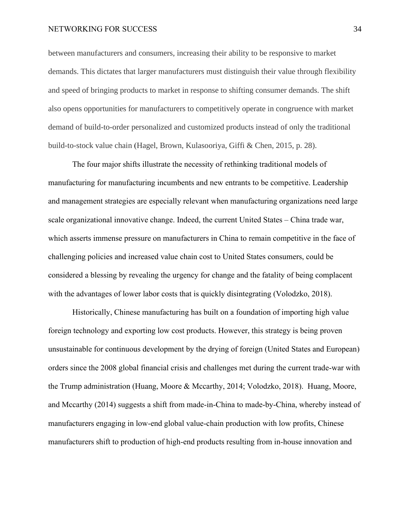between manufacturers and consumers, increasing their ability to be responsive to market demands. This dictates that larger manufacturers must distinguish their value through flexibility and speed of bringing products to market in response to shifting consumer demands. The shift also opens opportunities for manufacturers to competitively operate in congruence with market demand of build-to-order personalized and customized products instead of only the traditional build-to-stock value chain (Hagel, Brown, Kulasooriya, Giffi & Chen, 2015, p. 28).

The four major shifts illustrate the necessity of rethinking traditional models of manufacturing for manufacturing incumbents and new entrants to be competitive. Leadership and management strategies are especially relevant when manufacturing organizations need large scale organizational innovative change. Indeed, the current United States – China trade war, which asserts immense pressure on manufacturers in China to remain competitive in the face of challenging policies and increased value chain cost to United States consumers, could be considered a blessing by revealing the urgency for change and the fatality of being complacent with the advantages of lower labor costs that is quickly disintegrating (Volodzko, 2018).

Historically, Chinese manufacturing has built on a foundation of importing high value foreign technology and exporting low cost products. However, this strategy is being proven unsustainable for continuous development by the drying of foreign (United States and European) orders since the 2008 global financial crisis and challenges met during the current trade-war with the Trump administration (Huang, Moore & Mccarthy, 2014; Volodzko, 2018). Huang, Moore, and Mccarthy (2014) suggests a shift from made-in-China to made-by-China, whereby instead of manufacturers engaging in low-end global value-chain production with low profits, Chinese manufacturers shift to production of high-end products resulting from in-house innovation and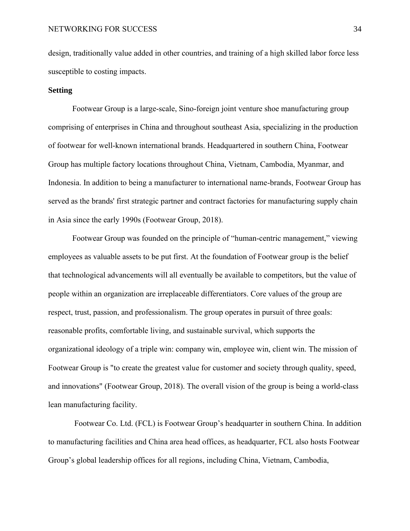<span id="page-10-0"></span>design, traditionally value added in other countries, and training of a high skilled labor force less susceptible to costing impacts.

## **Setting**

Footwear Group is a large-scale, Sino-foreign joint venture shoe manufacturing group comprising of enterprises in China and throughout southeast Asia, specializing in the production of footwear for well-known international brands. Headquartered in southern China, Footwear Group has multiple factory locations throughout China, Vietnam, Cambodia, Myanmar, and Indonesia. In addition to being a manufacturer to international name-brands, Footwear Group has served as the brands' first strategic partner and contract factories for manufacturing supply chain in Asia since the early 1990s (Footwear Group, 2018).

Footwear Group was founded on the principle of "human-centric management," viewing employees as valuable assets to be put first. At the foundation of Footwear group is the belief that technological advancements will all eventually be available to competitors, but the value of people within an organization are irreplaceable differentiators. Core values of the group are respect, trust, passion, and professionalism. The group operates in pursuit of three goals: reasonable profits, comfortable living, and sustainable survival, which supports the organizational ideology of a triple win: company win, employee win, client win. The mission of Footwear Group is "to create the greatest value for customer and society through quality, speed, and innovations" (Footwear Group, 2018). The overall vision of the group is being a world-class lean manufacturing facility.

Footwear Co. Ltd. (FCL) is Footwear Group's headquarter in southern China. In addition to manufacturing facilities and China area head offices, as headquarter, FCL also hosts Footwear Group's global leadership offices for all regions, including China, Vietnam, Cambodia,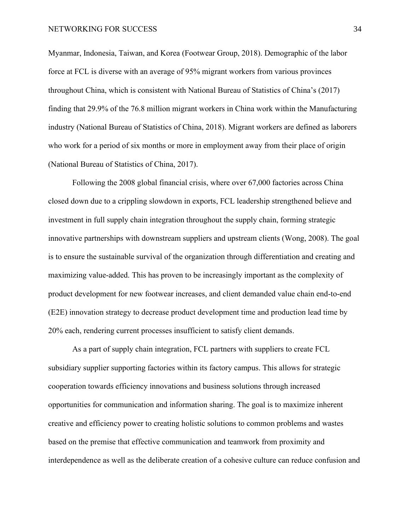Myanmar, Indonesia, Taiwan, and Korea (Footwear Group, 2018). Demographic of the labor force at FCL is diverse with an average of 95% migrant workers from various provinces throughout China, which is consistent with National Bureau of Statistics of China's (2017) finding that 29.9% of the 76.8 million migrant workers in China work within the Manufacturing industry (National Bureau of Statistics of China, 2018). Migrant workers are defined as laborers who work for a period of six months or more in employment away from their place of origin (National Bureau of Statistics of China, 2017).

Following the 2008 global financial crisis, where over 67,000 factories across China closed down due to a crippling slowdown in exports, FCL leadership strengthened believe and investment in full supply chain integration throughout the supply chain, forming strategic innovative partnerships with downstream suppliers and upstream clients (Wong, 2008). The goal is to ensure the sustainable survival of the organization through differentiation and creating and maximizing value-added. This has proven to be increasingly important as the complexity of product development for new footwear increases, and client demanded value chain end-to-end (E2E) innovation strategy to decrease product development time and production lead time by 20% each, rendering current processes insufficient to satisfy client demands.

As a part of supply chain integration, FCL partners with suppliers to create FCL subsidiary supplier supporting factories within its factory campus. This allows for strategic cooperation towards efficiency innovations and business solutions through increased opportunities for communication and information sharing. The goal is to maximize inherent creative and efficiency power to creating holistic solutions to common problems and wastes based on the premise that effective communication and teamwork from proximity and interdependence as well as the deliberate creation of a cohesive culture can reduce confusion and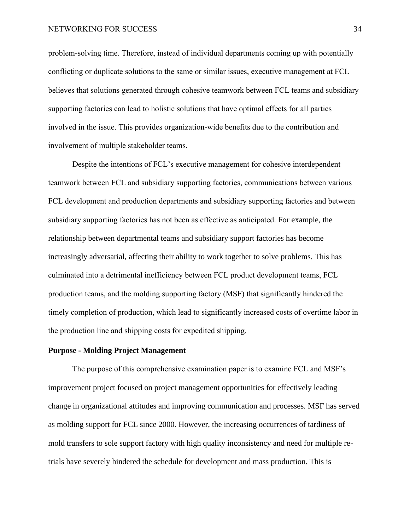problem-solving time. Therefore, instead of individual departments coming up with potentially conflicting or duplicate solutions to the same or similar issues, executive management at FCL believes that solutions generated through cohesive teamwork between FCL teams and subsidiary supporting factories can lead to holistic solutions that have optimal effects for all parties involved in the issue. This provides organization-wide benefits due to the contribution and involvement of multiple stakeholder teams.

Despite the intentions of FCL's executive management for cohesive interdependent teamwork between FCL and subsidiary supporting factories, communications between various FCL development and production departments and subsidiary supporting factories and between subsidiary supporting factories has not been as effective as anticipated. For example, the relationship between departmental teams and subsidiary support factories has become increasingly adversarial, affecting their ability to work together to solve problems. This has culminated into a detrimental inefficiency between FCL product development teams, FCL production teams, and the molding supporting factory (MSF) that significantly hindered the timely completion of production, which lead to significantly increased costs of overtime labor in the production line and shipping costs for expedited shipping.

## <span id="page-12-0"></span>**Purpose - Molding Project Management**

The purpose of this comprehensive examination paper is to examine FCL and MSF's improvement project focused on project management opportunities for effectively leading change in organizational attitudes and improving communication and processes. MSF has served as molding support for FCL since 2000. However, the increasing occurrences of tardiness of mold transfers to sole support factory with high quality inconsistency and need for multiple retrials have severely hindered the schedule for development and mass production. This is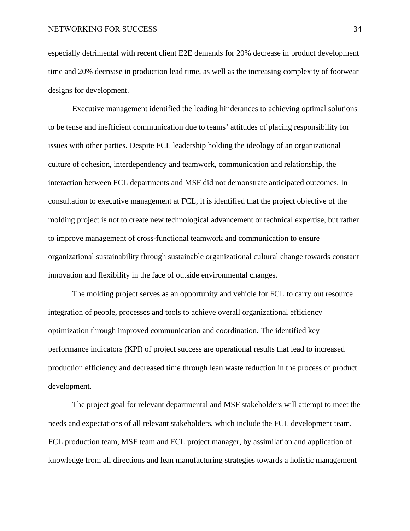especially detrimental with recent client E2E demands for 20% decrease in product development time and 20% decrease in production lead time, as well as the increasing complexity of footwear designs for development.

Executive management identified the leading hinderances to achieving optimal solutions to be tense and inefficient communication due to teams' attitudes of placing responsibility for issues with other parties. Despite FCL leadership holding the ideology of an organizational culture of cohesion, interdependency and teamwork, communication and relationship, the interaction between FCL departments and MSF did not demonstrate anticipated outcomes. In consultation to executive management at FCL, it is identified that the project objective of the molding project is not to create new technological advancement or technical expertise, but rather to improve management of cross-functional teamwork and communication to ensure organizational sustainability through sustainable organizational cultural change towards constant innovation and flexibility in the face of outside environmental changes.

The molding project serves as an opportunity and vehicle for FCL to carry out resource integration of people, processes and tools to achieve overall organizational efficiency optimization through improved communication and coordination. The identified key performance indicators (KPI) of project success are operational results that lead to increased production efficiency and decreased time through lean waste reduction in the process of product development.

The project goal for relevant departmental and MSF stakeholders will attempt to meet the needs and expectations of all relevant stakeholders, which include the FCL development team, FCL production team, MSF team and FCL project manager, by assimilation and application of knowledge from all directions and lean manufacturing strategies towards a holistic management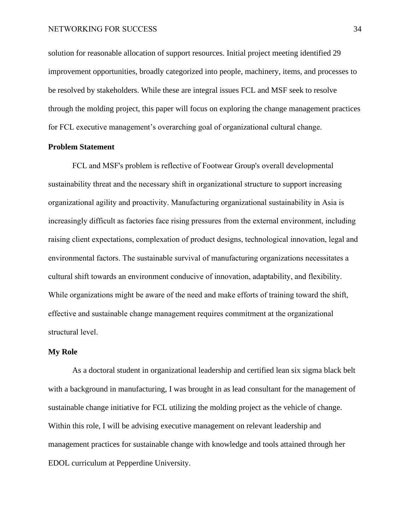solution for reasonable allocation of support resources. Initial project meeting identified 29 improvement opportunities, broadly categorized into people, machinery, items, and processes to be resolved by stakeholders. While these are integral issues FCL and MSF seek to resolve through the molding project, this paper will focus on exploring the change management practices for FCL executive management's overarching goal of organizational cultural change.

## <span id="page-14-0"></span>**Problem Statement**

FCL and MSF's problem is reflective of Footwear Group's overall developmental sustainability threat and the necessary shift in organizational structure to support increasing organizational agility and proactivity. Manufacturing organizational sustainability in Asia is increasingly difficult as factories face rising pressures from the external environment, including raising client expectations, complexation of product designs, technological innovation, legal and environmental factors. The sustainable survival of manufacturing organizations necessitates a cultural shift towards an environment conducive of innovation, adaptability, and flexibility. While organizations might be aware of the need and make efforts of training toward the shift, effective and sustainable change management requires commitment at the organizational structural level.

## <span id="page-14-1"></span>**My Role**

As a doctoral student in organizational leadership and certified lean six sigma black belt with a background in manufacturing, I was brought in as lead consultant for the management of sustainable change initiative for FCL utilizing the molding project as the vehicle of change. Within this role, I will be advising executive management on relevant leadership and management practices for sustainable change with knowledge and tools attained through her EDOL curriculum at Pepperdine University.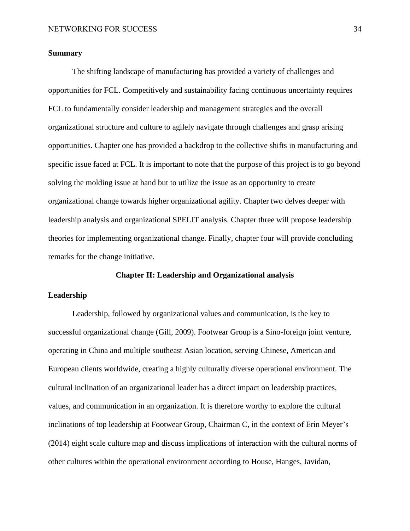## <span id="page-15-0"></span>**Summary**

The shifting landscape of manufacturing has provided a variety of challenges and opportunities for FCL. Competitively and sustainability facing continuous uncertainty requires FCL to fundamentally consider leadership and management strategies and the overall organizational structure and culture to agilely navigate through challenges and grasp arising opportunities. Chapter one has provided a backdrop to the collective shifts in manufacturing and specific issue faced at FCL. It is important to note that the purpose of this project is to go beyond solving the molding issue at hand but to utilize the issue as an opportunity to create organizational change towards higher organizational agility. Chapter two delves deeper with leadership analysis and organizational SPELIT analysis. Chapter three will propose leadership theories for implementing organizational change. Finally, chapter four will provide concluding remarks for the change initiative.

#### **Chapter II: Leadership and Organizational analysis**

## <span id="page-15-2"></span><span id="page-15-1"></span>**Leadership**

Leadership, followed by organizational values and communication, is the key to successful organizational change (Gill, 2009). Footwear Group is a Sino-foreign joint venture, operating in China and multiple southeast Asian location, serving Chinese, American and European clients worldwide, creating a highly culturally diverse operational environment. The cultural inclination of an organizational leader has a direct impact on leadership practices, values, and communication in an organization. It is therefore worthy to explore the cultural inclinations of top leadership at Footwear Group, Chairman C, in the context of Erin Meyer's (2014) eight scale culture map and discuss implications of interaction with the cultural norms of other cultures within the operational environment according to House, Hanges, Javidan,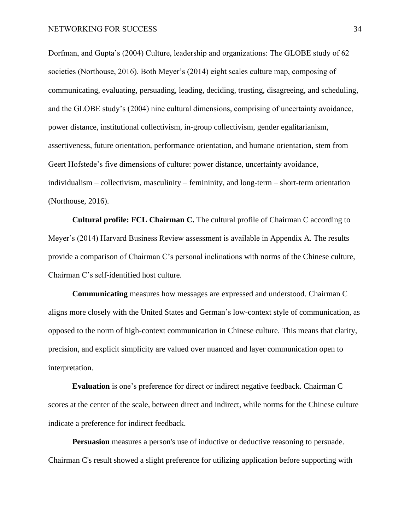Dorfman, and Gupta's (2004) Culture, leadership and organizations: The GLOBE study of 62 societies (Northouse, 2016). Both Meyer's (2014) eight scales culture map, composing of communicating, evaluating, persuading, leading, deciding, trusting, disagreeing, and scheduling, and the GLOBE study's (2004) nine cultural dimensions, comprising of uncertainty avoidance, power distance, institutional collectivism, in-group collectivism, gender egalitarianism, assertiveness, future orientation, performance orientation, and humane orientation, stem from Geert Hofstede's five dimensions of culture: power distance, uncertainty avoidance, individualism – collectivism, masculinity – femininity, and long-term – short-term orientation (Northouse, 2016).

**Cultural profile: FCL Chairman C.** The cultural profile of Chairman C according to Meyer's (2014) Harvard Business Review assessment is available in Appendix A. The results provide a comparison of Chairman C's personal inclinations with norms of the Chinese culture, Chairman C's self-identified host culture.

**Communicating** measures how messages are expressed and understood. Chairman C aligns more closely with the United States and German's low-context style of communication, as opposed to the norm of high-context communication in Chinese culture. This means that clarity, precision, and explicit simplicity are valued over nuanced and layer communication open to interpretation.

**Evaluation** is one's preference for direct or indirect negative feedback. Chairman C scores at the center of the scale, between direct and indirect, while norms for the Chinese culture indicate a preference for indirect feedback.

**Persuasion** measures a person's use of inductive or deductive reasoning to persuade. Chairman C's result showed a slight preference for utilizing application before supporting with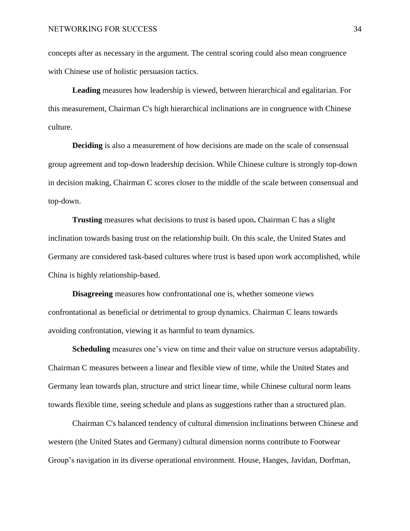concepts after as necessary in the argument. The central scoring could also mean congruence with Chinese use of holistic persuasion tactics.

**Leading** measures how leadership is viewed, between hierarchical and egalitarian. For this measurement, Chairman C's high hierarchical inclinations are in congruence with Chinese culture.

**Deciding** is also a measurement of how decisions are made on the scale of consensual group agreement and top-down leadership decision. While Chinese culture is strongly top-down in decision making, Chairman C scores closer to the middle of the scale between consensual and top-down.

**Trusting** measures what decisions to trust is based upon**.** Chairman C has a slight inclination towards basing trust on the relationship built. On this scale, the United States and Germany are considered task-based cultures where trust is based upon work accomplished, while China is highly relationship-based.

**Disagreeing** measures how confrontational one is, whether someone views confrontational as beneficial or detrimental to group dynamics. Chairman C leans towards avoiding confrontation, viewing it as harmful to team dynamics.

**Scheduling** measures one's view on time and their value on structure versus adaptability. Chairman C measures between a linear and flexible view of time, while the United States and Germany lean towards plan, structure and strict linear time, while Chinese cultural norm leans towards flexible time, seeing schedule and plans as suggestions rather than a structured plan.

Chairman C's balanced tendency of cultural dimension inclinations between Chinese and western (the United States and Germany) cultural dimension norms contribute to Footwear Group's navigation in its diverse operational environment. House, Hanges, Javidan, Dorfman,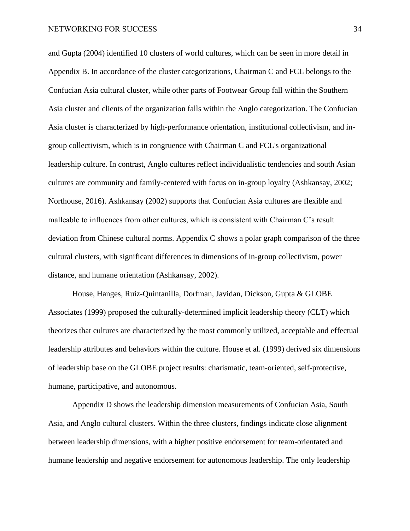and Gupta (2004) identified 10 clusters of world cultures, which can be seen in more detail in Appendix B. In accordance of the cluster categorizations, Chairman C and FCL belongs to the Confucian Asia cultural cluster, while other parts of Footwear Group fall within the Southern Asia cluster and clients of the organization falls within the Anglo categorization. The Confucian Asia cluster is characterized by high-performance orientation, institutional collectivism, and ingroup collectivism, which is in congruence with Chairman C and FCL's organizational leadership culture. In contrast, Anglo cultures reflect individualistic tendencies and south Asian cultures are community and family-centered with focus on in-group loyalty (Ashkansay, 2002; Northouse, 2016). Ashkansay (2002) supports that Confucian Asia cultures are flexible and malleable to influences from other cultures, which is consistent with Chairman C's result deviation from Chinese cultural norms. Appendix C shows a polar graph comparison of the three cultural clusters, with significant differences in dimensions of in-group collectivism, power distance, and humane orientation (Ashkansay, 2002).

House, Hanges, Ruiz-Quintanilla, Dorfman, Javidan, Dickson, Gupta & GLOBE Associates (1999) proposed the culturally-determined implicit leadership theory (CLT) which theorizes that cultures are characterized by the most commonly utilized, acceptable and effectual leadership attributes and behaviors within the culture. House et al. (1999) derived six dimensions of leadership base on the GLOBE project results: charismatic, team-oriented, self-protective, humane, participative, and autonomous.

Appendix D shows the leadership dimension measurements of Confucian Asia, South Asia, and Anglo cultural clusters. Within the three clusters, findings indicate close alignment between leadership dimensions, with a higher positive endorsement for team-orientated and humane leadership and negative endorsement for autonomous leadership. The only leadership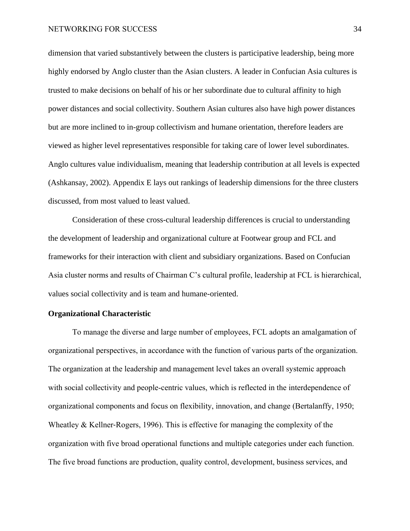dimension that varied substantively between the clusters is participative leadership, being more highly endorsed by Anglo cluster than the Asian clusters. A leader in Confucian Asia cultures is trusted to make decisions on behalf of his or her subordinate due to cultural affinity to high power distances and social collectivity. Southern Asian cultures also have high power distances but are more inclined to in-group collectivism and humane orientation, therefore leaders are viewed as higher level representatives responsible for taking care of lower level subordinates. Anglo cultures value individualism, meaning that leadership contribution at all levels is expected (Ashkansay, 2002). Appendix E lays out rankings of leadership dimensions for the three clusters discussed, from most valued to least valued.

Consideration of these cross-cultural leadership differences is crucial to understanding the development of leadership and organizational culture at Footwear group and FCL and frameworks for their interaction with client and subsidiary organizations. Based on Confucian Asia cluster norms and results of Chairman C's cultural profile, leadership at FCL is hierarchical, values social collectivity and is team and humane-oriented.

## <span id="page-19-0"></span>**Organizational Characteristic**

To manage the diverse and large number of employees, FCL adopts an amalgamation of organizational perspectives, in accordance with the function of various parts of the organization. The organization at the leadership and management level takes an overall systemic approach with social collectivity and people-centric values, which is reflected in the interdependence of organizational components and focus on flexibility, innovation, and change (Bertalanffy, 1950; Wheatley & Kellner-Rogers, 1996). This is effective for managing the complexity of the organization with five broad operational functions and multiple categories under each function. The five broad functions are production, quality control, development, business services, and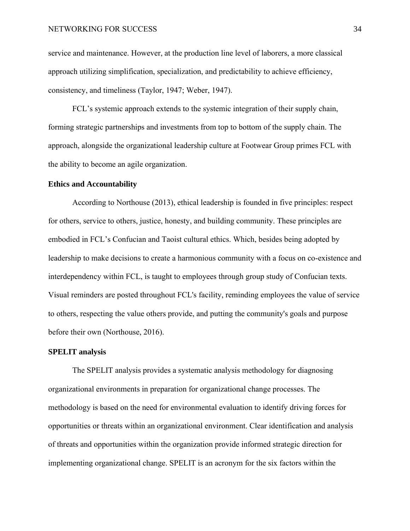service and maintenance. However, at the production line level of laborers, a more classical approach utilizing simplification, specialization, and predictability to achieve efficiency, consistency, and timeliness (Taylor, 1947; Weber, 1947).

FCL's systemic approach extends to the systemic integration of their supply chain, forming strategic partnerships and investments from top to bottom of the supply chain. The approach, alongside the organizational leadership culture at Footwear Group primes FCL with the ability to become an agile organization.

#### <span id="page-20-0"></span>**Ethics and Accountability**

According to Northouse (2013), ethical leadership is founded in five principles: respect for others, service to others, justice, honesty, and building community. These principles are embodied in FCL's Confucian and Taoist cultural ethics. Which, besides being adopted by leadership to make decisions to create a harmonious community with a focus on co-existence and interdependency within FCL, is taught to employees through group study of Confucian texts. Visual reminders are posted throughout FCL's facility, reminding employees the value of service to others, respecting the value others provide, and putting the community's goals and purpose before their own (Northouse, 2016).

## <span id="page-20-1"></span>**SPELIT analysis**

The SPELIT analysis provides a systematic analysis methodology for diagnosing organizational environments in preparation for organizational change processes. The methodology is based on the need for environmental evaluation to identify driving forces for opportunities or threats within an organizational environment. Clear identification and analysis of threats and opportunities within the organization provide informed strategic direction for implementing organizational change. SPELIT is an acronym for the six factors within the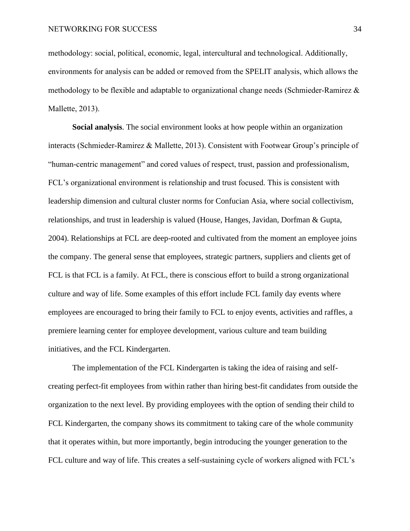methodology: social, political, economic, legal, intercultural and technological. Additionally, environments for analysis can be added or removed from the SPELIT analysis, which allows the methodology to be flexible and adaptable to organizational change needs (Schmieder-Ramirez & Mallette, 2013).

<span id="page-21-0"></span>**Social analysis**. The social environment looks at how people within an organization interacts (Schmieder-Ramirez & Mallette, 2013). Consistent with Footwear Group's principle of "human-centric management" and cored values of respect, trust, passion and professionalism, FCL's organizational environment is relationship and trust focused. This is consistent with leadership dimension and cultural cluster norms for Confucian Asia, where social collectivism, relationships, and trust in leadership is valued (House, Hanges, Javidan, Dorfman & Gupta, 2004). Relationships at FCL are deep-rooted and cultivated from the moment an employee joins the company. The general sense that employees, strategic partners, suppliers and clients get of FCL is that FCL is a family. At FCL, there is conscious effort to build a strong organizational culture and way of life. Some examples of this effort include FCL family day events where employees are encouraged to bring their family to FCL to enjoy events, activities and raffles, a premiere learning center for employee development, various culture and team building initiatives, and the FCL Kindergarten.

The implementation of the FCL Kindergarten is taking the idea of raising and selfcreating perfect-fit employees from within rather than hiring best-fit candidates from outside the organization to the next level. By providing employees with the option of sending their child to FCL Kindergarten, the company shows its commitment to taking care of the whole community that it operates within, but more importantly, begin introducing the younger generation to the FCL culture and way of life. This creates a self-sustaining cycle of workers aligned with FCL's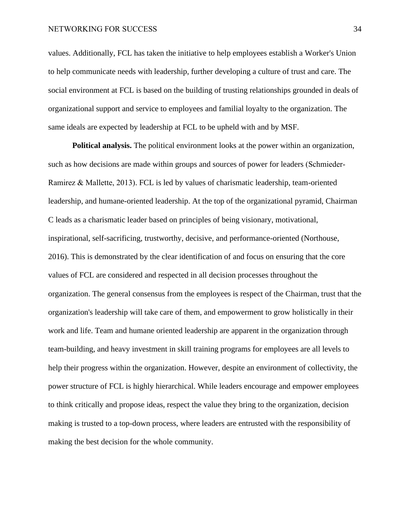values. Additionally, FCL has taken the initiative to help employees establish a Worker's Union to help communicate needs with leadership, further developing a culture of trust and care. The social environment at FCL is based on the building of trusting relationships grounded in deals of organizational support and service to employees and familial loyalty to the organization. The same ideals are expected by leadership at FCL to be upheld with and by MSF.

<span id="page-22-0"></span>**Political analysis.** The political environment looks at the power within an organization, such as how decisions are made within groups and sources of power for leaders (Schmieder-Ramirez & Mallette, 2013). FCL is led by values of charismatic leadership, team-oriented leadership, and humane-oriented leadership. At the top of the organizational pyramid, Chairman C leads as a charismatic leader based on principles of being visionary, motivational, inspirational, self-sacrificing, trustworthy, decisive, and performance-oriented (Northouse, 2016). This is demonstrated by the clear identification of and focus on ensuring that the core values of FCL are considered and respected in all decision processes throughout the organization. The general consensus from the employees is respect of the Chairman, trust that the organization's leadership will take care of them, and empowerment to grow holistically in their work and life. Team and humane oriented leadership are apparent in the organization through team-building, and heavy investment in skill training programs for employees are all levels to help their progress within the organization. However, despite an environment of collectivity, the power structure of FCL is highly hierarchical. While leaders encourage and empower employees to think critically and propose ideas, respect the value they bring to the organization, decision making is trusted to a top-down process, where leaders are entrusted with the responsibility of making the best decision for the whole community.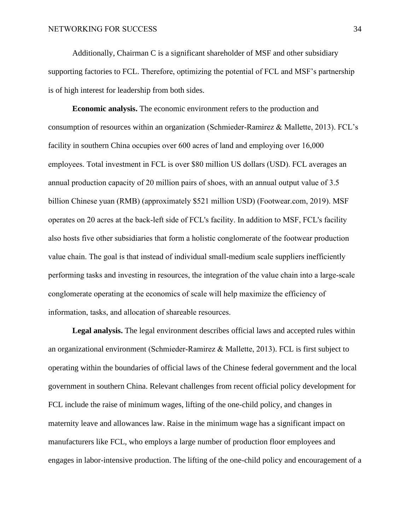Additionally, Chairman C is a significant shareholder of MSF and other subsidiary supporting factories to FCL. Therefore, optimizing the potential of FCL and MSF's partnership is of high interest for leadership from both sides.

<span id="page-23-0"></span>**Economic analysis.** The economic environment refers to the production and consumption of resources within an organization (Schmieder-Ramirez & Mallette, 2013). FCL's facility in southern China occupies over 600 acres of land and employing over 16,000 employees. Total investment in FCL is over \$80 million US dollars (USD). FCL averages an annual production capacity of 20 million pairs of shoes, with an annual output value of 3.5 billion Chinese yuan (RMB) (approximately \$521 million USD) (Footwear.com, 2019). MSF operates on 20 acres at the back-left side of FCL's facility. In addition to MSF, FCL's facility also hosts five other subsidiaries that form a holistic conglomerate of the footwear production value chain. The goal is that instead of individual small-medium scale suppliers inefficiently performing tasks and investing in resources, the integration of the value chain into a large-scale conglomerate operating at the economics of scale will help maximize the efficiency of information, tasks, and allocation of shareable resources.

<span id="page-23-1"></span>**Legal analysis.** The legal environment describes official laws and accepted rules within an organizational environment (Schmieder-Ramirez & Mallette, 2013). FCL is first subject to operating within the boundaries of official laws of the Chinese federal government and the local government in southern China. Relevant challenges from recent official policy development for FCL include the raise of minimum wages, lifting of the one-child policy, and changes in maternity leave and allowances law. Raise in the minimum wage has a significant impact on manufacturers like FCL, who employs a large number of production floor employees and engages in labor-intensive production. The lifting of the one-child policy and encouragement of a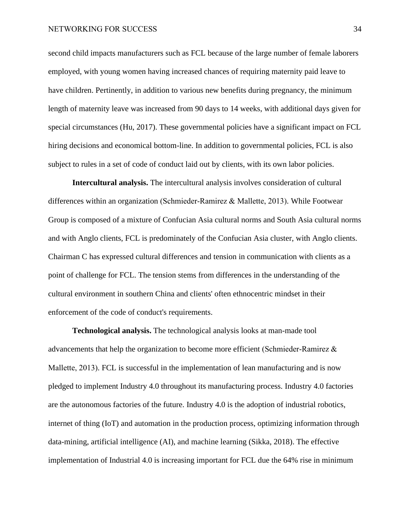second child impacts manufacturers such as FCL because of the large number of female laborers employed, with young women having increased chances of requiring maternity paid leave to have children. Pertinently, in addition to various new benefits during pregnancy, the minimum length of maternity leave was increased from 90 days to 14 weeks, with additional days given for special circumstances (Hu, 2017). These governmental policies have a significant impact on FCL hiring decisions and economical bottom-line. In addition to governmental policies, FCL is also subject to rules in a set of code of conduct laid out by clients, with its own labor policies.

<span id="page-24-0"></span>**Intercultural analysis.** The intercultural analysis involves consideration of cultural differences within an organization (Schmieder-Ramirez & Mallette, 2013). While Footwear Group is composed of a mixture of Confucian Asia cultural norms and South Asia cultural norms and with Anglo clients, FCL is predominately of the Confucian Asia cluster, with Anglo clients. Chairman C has expressed cultural differences and tension in communication with clients as a point of challenge for FCL. The tension stems from differences in the understanding of the cultural environment in southern China and clients' often ethnocentric mindset in their enforcement of the code of conduct's requirements.

<span id="page-24-1"></span>**Technological analysis.** The technological analysis looks at man-made tool advancements that help the organization to become more efficient (Schmieder-Ramirez & Mallette, 2013). FCL is successful in the implementation of lean manufacturing and is now pledged to implement Industry 4.0 throughout its manufacturing process. Industry 4.0 factories are the autonomous factories of the future. Industry 4.0 is the adoption of industrial robotics, internet of thing (IoT) and automation in the production process, optimizing information through data-mining, artificial intelligence (AI), and machine learning (Sikka, 2018). The effective implementation of Industrial 4.0 is increasing important for FCL due the 64% rise in minimum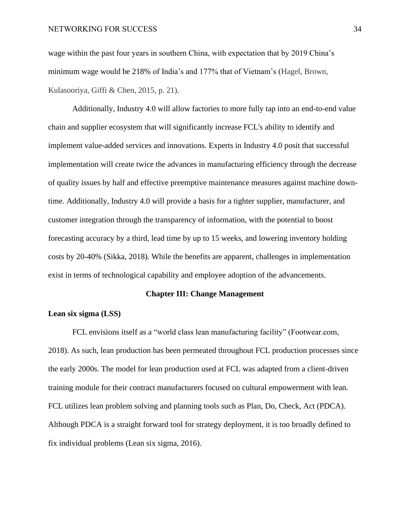wage within the past four years in southern China, with expectation that by 2019 China's minimum wage would be 218% of India's and 177% that of Vietnam's (Hagel, Brown, Kulasooriya, Giffi & Chen, 2015, p. 21).

Additionally, Industry 4.0 will allow factories to more fully tap into an end-to-end value chain and supplier ecosystem that will significantly increase FCL's ability to identify and implement value-added services and innovations. Experts in Industry 4.0 posit that successful implementation will create twice the advances in manufacturing efficiency through the decrease of quality issues by half and effective preemptive maintenance measures against machine downtime. Additionally, Industry 4.0 will provide a basis for a tighter supplier, manufacturer, and customer integration through the transparency of information, with the potential to boost forecasting accuracy by a third, lead time by up to 15 weeks, and lowering inventory holding costs by 20-40% (Sikka, 2018). While the benefits are apparent, challenges in implementation exist in terms of technological capability and employee adoption of the advancements.

#### **Chapter III: Change Management**

## <span id="page-25-1"></span><span id="page-25-0"></span>**Lean six sigma (LSS)**

FCL envisions itself as a "world class lean manufacturing facility" (Footwear.com, 2018). As such, lean production has been permeated throughout FCL production processes since the early 2000s. The model for lean production used at FCL was adapted from a client-driven training module for their contract manufacturers focused on cultural empowerment with lean. FCL utilizes lean problem solving and planning tools such as Plan, Do, Check, Act (PDCA). Although PDCA is a straight forward tool for strategy deployment, it is too broadly defined to fix individual problems (Lean six sigma, 2016).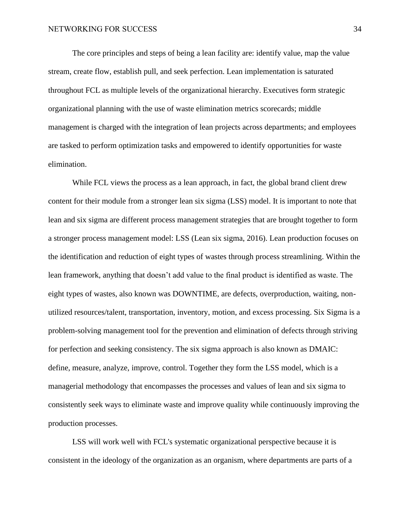The core principles and steps of being a lean facility are: identify value, map the value stream, create flow, establish pull, and seek perfection. Lean implementation is saturated throughout FCL as multiple levels of the organizational hierarchy. Executives form strategic organizational planning with the use of waste elimination metrics scorecards; middle management is charged with the integration of lean projects across departments; and employees are tasked to perform optimization tasks and empowered to identify opportunities for waste elimination.

While FCL views the process as a lean approach, in fact, the global brand client drew content for their module from a stronger lean six sigma (LSS) model. It is important to note that lean and six sigma are different process management strategies that are brought together to form a stronger process management model: LSS (Lean six sigma, 2016). Lean production focuses on the identification and reduction of eight types of wastes through process streamlining. Within the lean framework, anything that doesn't add value to the final product is identified as waste. The eight types of wastes, also known was DOWNTIME, are defects, overproduction, waiting, nonutilized resources/talent, transportation, inventory, motion, and excess processing. Six Sigma is a problem-solving management tool for the prevention and elimination of defects through striving for perfection and seeking consistency. The six sigma approach is also known as DMAIC: define, measure, analyze, improve, control. Together they form the LSS model, which is a managerial methodology that encompasses the processes and values of lean and six sigma to consistently seek ways to eliminate waste and improve quality while continuously improving the production processes.

LSS will work well with FCL's systematic organizational perspective because it is consistent in the ideology of the organization as an organism, where departments are parts of a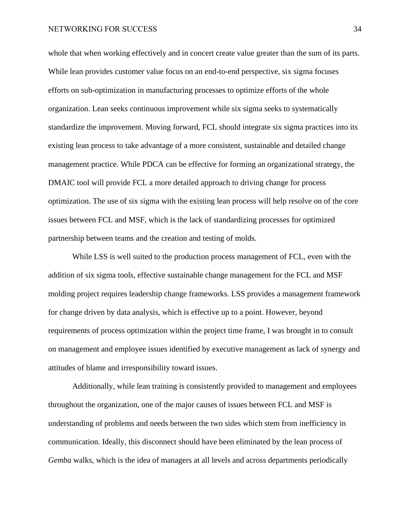whole that when working effectively and in concert create value greater than the sum of its parts. While lean provides customer value focus on an end-to-end perspective, six sigma focuses efforts on sub-optimization in manufacturing processes to optimize efforts of the whole organization. Lean seeks continuous improvement while six sigma seeks to systematically standardize the improvement. Moving forward, FCL should integrate six sigma practices into its existing lean process to take advantage of a more consistent, sustainable and detailed change management practice. While PDCA can be effective for forming an organizational strategy, the DMAIC tool will provide FCL a more detailed approach to driving change for process optimization. The use of six sigma with the existing lean process will help resolve on of the core issues between FCL and MSF, which is the lack of standardizing processes for optimized partnership between teams and the creation and testing of molds.

While LSS is well suited to the production process management of FCL, even with the addition of six sigma tools, effective sustainable change management for the FCL and MSF molding project requires leadership change frameworks. LSS provides a management framework for change driven by data analysis, which is effective up to a point. However, beyond requirements of process optimization within the project time frame, I was brought in to consult on management and employee issues identified by executive management as lack of synergy and attitudes of blame and irresponsibility toward issues.

Additionally, while lean training is consistently provided to management and employees throughout the organization, one of the major causes of issues between FCL and MSF is understanding of problems and needs between the two sides which stem from inefficiency in communication. Ideally, this disconnect should have been eliminated by the lean process of *Gemba* walks, which is the idea of managers at all levels and across departments periodically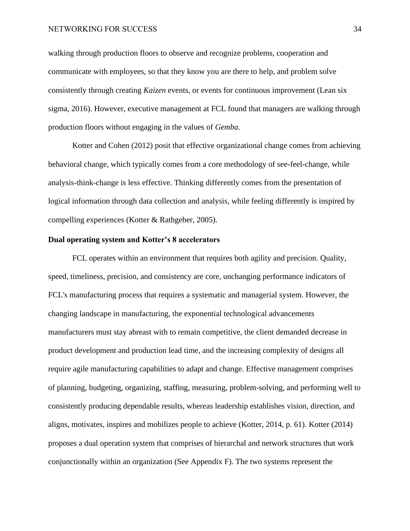walking through production floors to observe and recognize problems, cooperation and communicate with employees, so that they know you are there to help, and problem solve consistently through creating *Kaizen* events, or events for continuous improvement (Lean six sigma, 2016). However, executive management at FCL found that managers are walking through production floors without engaging in the values of *Gemba*.

Kotter and Cohen (2012) posit that effective organizational change comes from achieving behavioral change, which typically comes from a core methodology of see-feel-change, while analysis-think-change is less effective. Thinking differently comes from the presentation of logical information through data collection and analysis, while feeling differently is inspired by compelling experiences (Kotter & Rathgeber, 2005).

## <span id="page-28-0"></span>**Dual operating system and Kotter's 8 accelerators**

FCL operates within an environment that requires both agility and precision. Quality, speed, timeliness, precision, and consistency are core, unchanging performance indicators of FCL's manufacturing process that requires a systematic and managerial system. However, the changing landscape in manufacturing, the exponential technological advancements manufacturers must stay abreast with to remain competitive, the client demanded decrease in product development and production lead time, and the increasing complexity of designs all require agile manufacturing capabilities to adapt and change. Effective management comprises of planning, budgeting, organizing, staffing, measuring, problem-solving, and performing well to consistently producing dependable results, whereas leadership establishes vision, direction, and aligns, motivates, inspires and mobilizes people to achieve (Kotter, 2014, p. 61). Kotter (2014) proposes a dual operation system that comprises of hierarchal and network structures that work conjunctionally within an organization (See Appendix F). The two systems represent the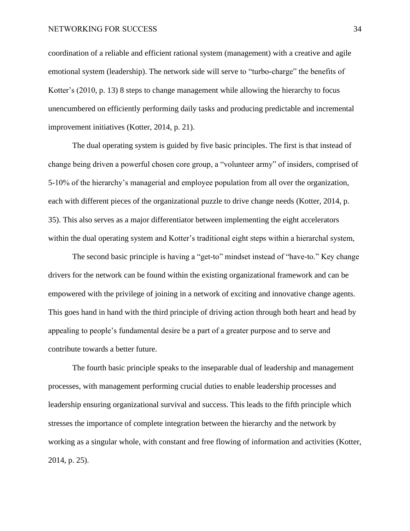coordination of a reliable and efficient rational system (management) with a creative and agile emotional system (leadership). The network side will serve to "turbo-charge" the benefits of Kotter's (2010, p. 13) 8 steps to change management while allowing the hierarchy to focus unencumbered on efficiently performing daily tasks and producing predictable and incremental improvement initiatives (Kotter, 2014, p. 21).

The dual operating system is guided by five basic principles. The first is that instead of change being driven a powerful chosen core group, a "volunteer army" of insiders, comprised of 5-10% of the hierarchy's managerial and employee population from all over the organization, each with different pieces of the organizational puzzle to drive change needs (Kotter, 2014, p. 35). This also serves as a major differentiator between implementing the eight accelerators within the dual operating system and Kotter's traditional eight steps within a hierarchal system,

The second basic principle is having a "get-to" mindset instead of "have-to." Key change drivers for the network can be found within the existing organizational framework and can be empowered with the privilege of joining in a network of exciting and innovative change agents. This goes hand in hand with the third principle of driving action through both heart and head by appealing to people's fundamental desire be a part of a greater purpose and to serve and contribute towards a better future.

The fourth basic principle speaks to the inseparable dual of leadership and management processes, with management performing crucial duties to enable leadership processes and leadership ensuring organizational survival and success. This leads to the fifth principle which stresses the importance of complete integration between the hierarchy and the network by working as a singular whole, with constant and free flowing of information and activities (Kotter, 2014, p. 25).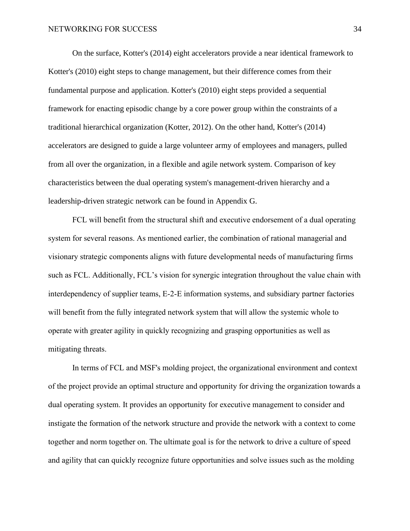On the surface, Kotter's (2014) eight accelerators provide a near identical framework to Kotter's (2010) eight steps to change management, but their difference comes from their fundamental purpose and application. Kotter's (2010) eight steps provided a sequential framework for enacting episodic change by a core power group within the constraints of a traditional hierarchical organization (Kotter, 2012). On the other hand, Kotter's (2014) accelerators are designed to guide a large volunteer army of employees and managers, pulled from all over the organization, in a flexible and agile network system. Comparison of key characteristics between the dual operating system's management-driven hierarchy and a leadership-driven strategic network can be found in Appendix G.

FCL will benefit from the structural shift and executive endorsement of a dual operating system for several reasons. As mentioned earlier, the combination of rational managerial and visionary strategic components aligns with future developmental needs of manufacturing firms such as FCL. Additionally, FCL's vision for synergic integration throughout the value chain with interdependency of supplier teams, E-2-E information systems, and subsidiary partner factories will benefit from the fully integrated network system that will allow the systemic whole to operate with greater agility in quickly recognizing and grasping opportunities as well as mitigating threats.

In terms of FCL and MSF's molding project, the organizational environment and context of the project provide an optimal structure and opportunity for driving the organization towards a dual operating system. It provides an opportunity for executive management to consider and instigate the formation of the network structure and provide the network with a context to come together and norm together on. The ultimate goal is for the network to drive a culture of speed and agility that can quickly recognize future opportunities and solve issues such as the molding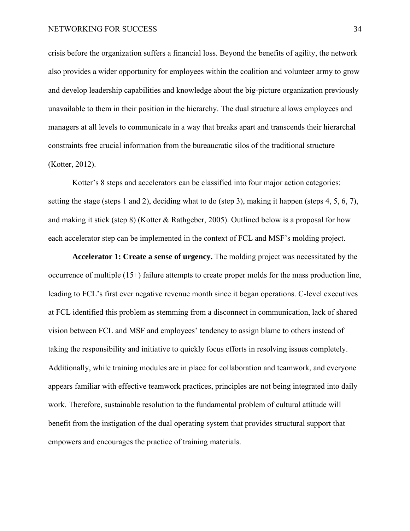crisis before the organization suffers a financial loss. Beyond the benefits of agility, the network also provides a wider opportunity for employees within the coalition and volunteer army to grow and develop leadership capabilities and knowledge about the big-picture organization previously unavailable to them in their position in the hierarchy. The dual structure allows employees and managers at all levels to communicate in a way that breaks apart and transcends their hierarchal constraints free crucial information from the bureaucratic silos of the traditional structure (Kotter, 2012).

Kotter's 8 steps and accelerators can be classified into four major action categories: setting the stage (steps 1 and 2), deciding what to do (step 3), making it happen (steps 4, 5, 6, 7), and making it stick (step 8) (Kotter & Rathgeber, 2005). Outlined below is a proposal for how each accelerator step can be implemented in the context of FCL and MSF's molding project.

<span id="page-31-0"></span>**Accelerator 1: Create a sense of urgency.** The molding project was necessitated by the occurrence of multiple (15+) failure attempts to create proper molds for the mass production line, leading to FCL's first ever negative revenue month since it began operations. C-level executives at FCL identified this problem as stemming from a disconnect in communication, lack of shared vision between FCL and MSF and employees' tendency to assign blame to others instead of taking the responsibility and initiative to quickly focus efforts in resolving issues completely. Additionally, while training modules are in place for collaboration and teamwork, and everyone appears familiar with effective teamwork practices, principles are not being integrated into daily work. Therefore, sustainable resolution to the fundamental problem of cultural attitude will benefit from the instigation of the dual operating system that provides structural support that empowers and encourages the practice of training materials.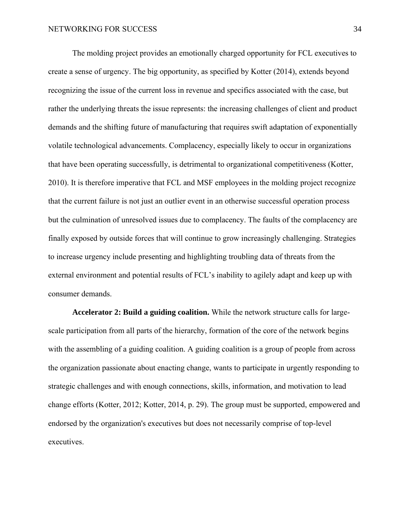The molding project provides an emotionally charged opportunity for FCL executives to create a sense of urgency. The big opportunity, as specified by Kotter (2014), extends beyond recognizing the issue of the current loss in revenue and specifics associated with the case, but rather the underlying threats the issue represents: the increasing challenges of client and product demands and the shifting future of manufacturing that requires swift adaptation of exponentially volatile technological advancements. Complacency, especially likely to occur in organizations that have been operating successfully, is detrimental to organizational competitiveness (Kotter, 2010). It is therefore imperative that FCL and MSF employees in the molding project recognize that the current failure is not just an outlier event in an otherwise successful operation process but the culmination of unresolved issues due to complacency. The faults of the complacency are finally exposed by outside forces that will continue to grow increasingly challenging. Strategies to increase urgency include presenting and highlighting troubling data of threats from the external environment and potential results of FCL's inability to agilely adapt and keep up with consumer demands.

<span id="page-32-0"></span>**Accelerator 2: Build a guiding coalition.** While the network structure calls for largescale participation from all parts of the hierarchy, formation of the core of the network begins with the assembling of a guiding coalition. A guiding coalition is a group of people from across the organization passionate about enacting change, wants to participate in urgently responding to strategic challenges and with enough connections, skills, information, and motivation to lead change efforts (Kotter, 2012; Kotter, 2014, p. 29). The group must be supported, empowered and endorsed by the organization's executives but does not necessarily comprise of top-level executives.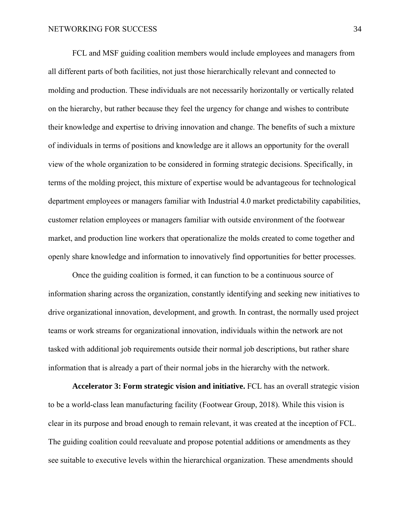FCL and MSF guiding coalition members would include employees and managers from all different parts of both facilities, not just those hierarchically relevant and connected to molding and production. These individuals are not necessarily horizontally or vertically related on the hierarchy, but rather because they feel the urgency for change and wishes to contribute their knowledge and expertise to driving innovation and change. The benefits of such a mixture of individuals in terms of positions and knowledge are it allows an opportunity for the overall view of the whole organization to be considered in forming strategic decisions. Specifically, in terms of the molding project, this mixture of expertise would be advantageous for technological department employees or managers familiar with Industrial 4.0 market predictability capabilities, customer relation employees or managers familiar with outside environment of the footwear market, and production line workers that operationalize the molds created to come together and openly share knowledge and information to innovatively find opportunities for better processes.

Once the guiding coalition is formed, it can function to be a continuous source of information sharing across the organization, constantly identifying and seeking new initiatives to drive organizational innovation, development, and growth. In contrast, the normally used project teams or work streams for organizational innovation, individuals within the network are not tasked with additional job requirements outside their normal job descriptions, but rather share information that is already a part of their normal jobs in the hierarchy with the network.

<span id="page-33-0"></span>**Accelerator 3: Form strategic vision and initiative.** FCL has an overall strategic vision to be a world-class lean manufacturing facility (Footwear Group, 2018). While this vision is clear in its purpose and broad enough to remain relevant, it was created at the inception of FCL. The guiding coalition could reevaluate and propose potential additions or amendments as they see suitable to executive levels within the hierarchical organization. These amendments should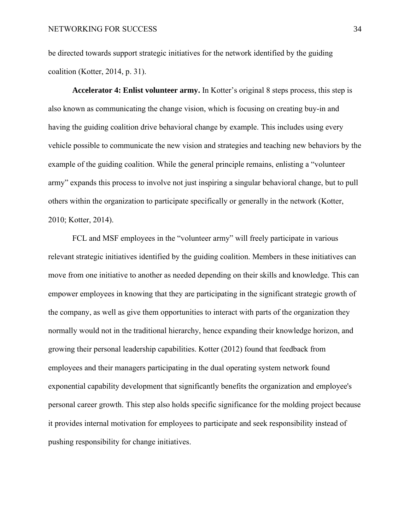be directed towards support strategic initiatives for the network identified by the guiding coalition (Kotter, 2014, p. 31).

<span id="page-34-0"></span>**Accelerator 4: Enlist volunteer army.** In Kotter's original 8 steps process, this step is also known as communicating the change vision, which is focusing on creating buy-in and having the guiding coalition drive behavioral change by example. This includes using every vehicle possible to communicate the new vision and strategies and teaching new behaviors by the example of the guiding coalition. While the general principle remains, enlisting a "volunteer army" expands this process to involve not just inspiring a singular behavioral change, but to pull others within the organization to participate specifically or generally in the network (Kotter, 2010; Kotter, 2014).

FCL and MSF employees in the "volunteer army" will freely participate in various relevant strategic initiatives identified by the guiding coalition. Members in these initiatives can move from one initiative to another as needed depending on their skills and knowledge. This can empower employees in knowing that they are participating in the significant strategic growth of the company, as well as give them opportunities to interact with parts of the organization they normally would not in the traditional hierarchy, hence expanding their knowledge horizon, and growing their personal leadership capabilities. Kotter (2012) found that feedback from employees and their managers participating in the dual operating system network found exponential capability development that significantly benefits the organization and employee's personal career growth. This step also holds specific significance for the molding project because it provides internal motivation for employees to participate and seek responsibility instead of pushing responsibility for change initiatives.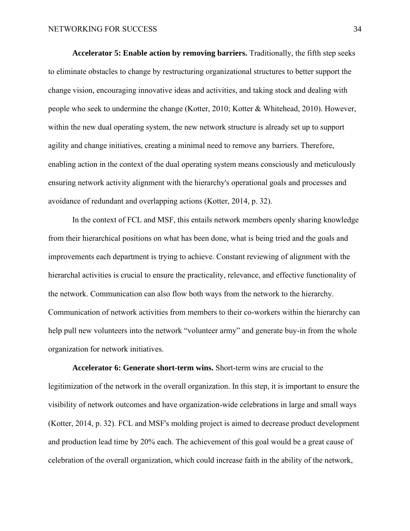<span id="page-35-0"></span>**Accelerator 5: Enable action by removing barriers.** Traditionally, the fifth step seeks to eliminate obstacles to change by restructuring organizational structures to better support the change vision, encouraging innovative ideas and activities, and taking stock and dealing with people who seek to undermine the change (Kotter, 2010; Kotter & Whitehead, 2010). However, within the new dual operating system, the new network structure is already set up to support agility and change initiatives, creating a minimal need to remove any barriers. Therefore, enabling action in the context of the dual operating system means consciously and meticulously ensuring network activity alignment with the hierarchy's operational goals and processes and avoidance of redundant and overlapping actions (Kotter, 2014, p. 32).

In the context of FCL and MSF, this entails network members openly sharing knowledge from their hierarchical positions on what has been done, what is being tried and the goals and improvements each department is trying to achieve. Constant reviewing of alignment with the hierarchal activities is crucial to ensure the practicality, relevance, and effective functionality of the network. Communication can also flow both ways from the network to the hierarchy. Communication of network activities from members to their co-workers within the hierarchy can help pull new volunteers into the network "volunteer army" and generate buy-in from the whole organization for network initiatives.

<span id="page-35-1"></span>**Accelerator 6: Generate short-term wins.** Short-term wins are crucial to the legitimization of the network in the overall organization. In this step, it is important to ensure the visibility of network outcomes and have organization-wide celebrations in large and small ways (Kotter, 2014, p. 32). FCL and MSF's molding project is aimed to decrease product development and production lead time by 20% each. The achievement of this goal would be a great cause of celebration of the overall organization, which could increase faith in the ability of the network,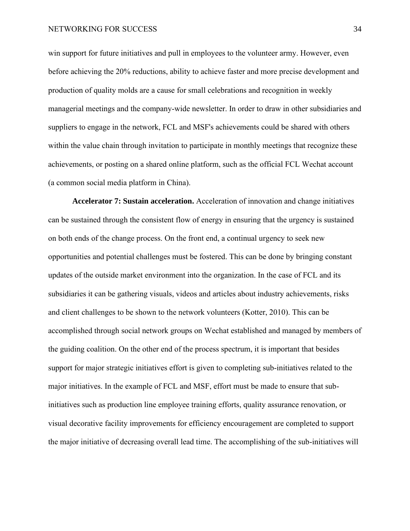win support for future initiatives and pull in employees to the volunteer army. However, even before achieving the 20% reductions, ability to achieve faster and more precise development and production of quality molds are a cause for small celebrations and recognition in weekly managerial meetings and the company-wide newsletter. In order to draw in other subsidiaries and suppliers to engage in the network, FCL and MSF's achievements could be shared with others within the value chain through invitation to participate in monthly meetings that recognize these achievements, or posting on a shared online platform, such as the official FCL Wechat account (a common social media platform in China).

<span id="page-36-0"></span>**Accelerator 7: Sustain acceleration.** Acceleration of innovation and change initiatives can be sustained through the consistent flow of energy in ensuring that the urgency is sustained on both ends of the change process. On the front end, a continual urgency to seek new opportunities and potential challenges must be fostered. This can be done by bringing constant updates of the outside market environment into the organization. In the case of FCL and its subsidiaries it can be gathering visuals, videos and articles about industry achievements, risks and client challenges to be shown to the network volunteers (Kotter, 2010). This can be accomplished through social network groups on Wechat established and managed by members of the guiding coalition. On the other end of the process spectrum, it is important that besides support for major strategic initiatives effort is given to completing sub-initiatives related to the major initiatives. In the example of FCL and MSF, effort must be made to ensure that subinitiatives such as production line employee training efforts, quality assurance renovation, or visual decorative facility improvements for efficiency encouragement are completed to support the major initiative of decreasing overall lead time. The accomplishing of the sub-initiatives will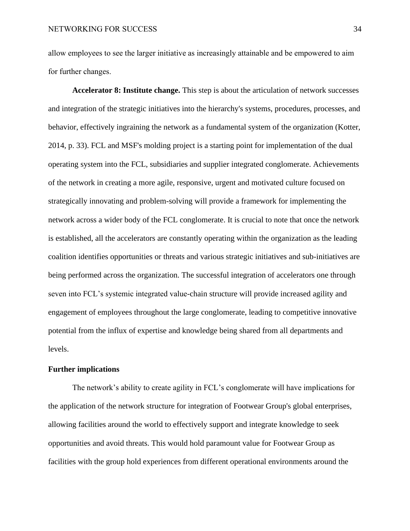allow employees to see the larger initiative as increasingly attainable and be empowered to aim for further changes.

<span id="page-37-0"></span>**Accelerator 8: Institute change.** This step is about the articulation of network successes and integration of the strategic initiatives into the hierarchy's systems, procedures, processes, and behavior, effectively ingraining the network as a fundamental system of the organization (Kotter, 2014, p. 33). FCL and MSF's molding project is a starting point for implementation of the dual operating system into the FCL, subsidiaries and supplier integrated conglomerate. Achievements of the network in creating a more agile, responsive, urgent and motivated culture focused on strategically innovating and problem-solving will provide a framework for implementing the network across a wider body of the FCL conglomerate. It is crucial to note that once the network is established, all the accelerators are constantly operating within the organization as the leading coalition identifies opportunities or threats and various strategic initiatives and sub-initiatives are being performed across the organization. The successful integration of accelerators one through seven into FCL's systemic integrated value-chain structure will provide increased agility and engagement of employees throughout the large conglomerate, leading to competitive innovative potential from the influx of expertise and knowledge being shared from all departments and levels.

## <span id="page-37-1"></span>**Further implications**

The network's ability to create agility in FCL's conglomerate will have implications for the application of the network structure for integration of Footwear Group's global enterprises, allowing facilities around the world to effectively support and integrate knowledge to seek opportunities and avoid threats. This would hold paramount value for Footwear Group as facilities with the group hold experiences from different operational environments around the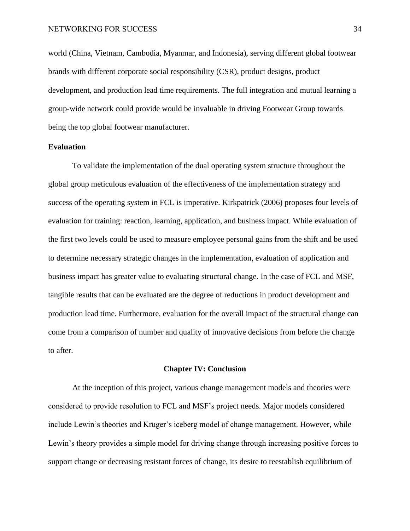world (China, Vietnam, Cambodia, Myanmar, and Indonesia), serving different global footwear brands with different corporate social responsibility (CSR), product designs, product development, and production lead time requirements. The full integration and mutual learning a group-wide network could provide would be invaluable in driving Footwear Group towards being the top global footwear manufacturer.

## <span id="page-38-0"></span>**Evaluation**

To validate the implementation of the dual operating system structure throughout the global group meticulous evaluation of the effectiveness of the implementation strategy and success of the operating system in FCL is imperative. Kirkpatrick (2006) proposes four levels of evaluation for training: reaction, learning, application, and business impact. While evaluation of the first two levels could be used to measure employee personal gains from the shift and be used to determine necessary strategic changes in the implementation, evaluation of application and business impact has greater value to evaluating structural change. In the case of FCL and MSF, tangible results that can be evaluated are the degree of reductions in product development and production lead time. Furthermore, evaluation for the overall impact of the structural change can come from a comparison of number and quality of innovative decisions from before the change to after.

## **Chapter IV: Conclusion**

<span id="page-38-1"></span>At the inception of this project, various change management models and theories were considered to provide resolution to FCL and MSF's project needs. Major models considered include Lewin's theories and Kruger's iceberg model of change management. However, while Lewin's theory provides a simple model for driving change through increasing positive forces to support change or decreasing resistant forces of change, its desire to reestablish equilibrium of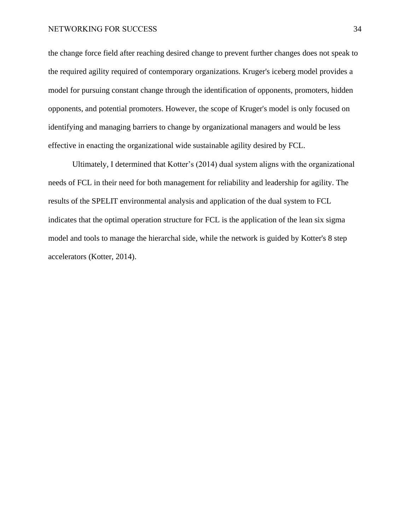the change force field after reaching desired change to prevent further changes does not speak to the required agility required of contemporary organizations. Kruger's iceberg model provides a model for pursuing constant change through the identification of opponents, promoters, hidden opponents, and potential promoters. However, the scope of Kruger's model is only focused on identifying and managing barriers to change by organizational managers and would be less effective in enacting the organizational wide sustainable agility desired by FCL.

Ultimately, I determined that Kotter's (2014) dual system aligns with the organizational needs of FCL in their need for both management for reliability and leadership for agility. The results of the SPELIT environmental analysis and application of the dual system to FCL indicates that the optimal operation structure for FCL is the application of the lean six sigma model and tools to manage the hierarchal side, while the network is guided by Kotter's 8 step accelerators (Kotter, 2014).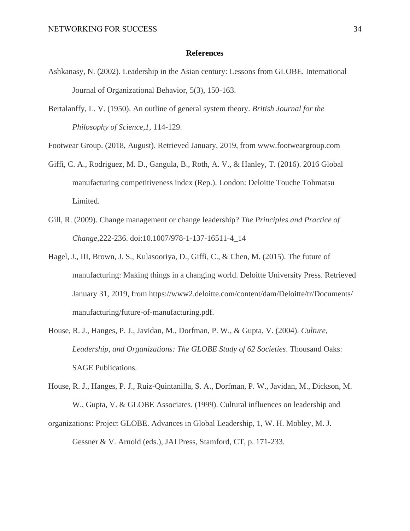#### **References**

- <span id="page-40-0"></span>Ashkanasy, N. (2002). Leadership in the Asian century: Lessons from GLOBE. International Journal of Organizational Behavior, 5(3), 150-163.
- Bertalanffy, L. V. (1950). An outline of general system theory. *British Journal for the Philosophy of Science,1*, 114-129.
- Footwear Group. (2018, August). Retrieved January, 2019, from www.footweargroup.com
- Giffi, C. A., Rodriguez, M. D., Gangula, B., Roth, A. V., & Hanley, T. (2016). 2016 Global manufacturing competitiveness index (Rep.). London: Deloitte Touche Tohmatsu Limited.
- Gill, R. (2009). Change management or change leadership? *The Principles and Practice of Change,*222-236. doi:10.1007/978-1-137-16511-4\_14
- Hagel, J., III, Brown, J. S., Kulasooriya, D., Giffi, C., & Chen, M. (2015). The future of manufacturing: Making things in a changing world. Deloitte University Press. Retrieved January 31, 2019, from https://www2.deloitte.com/content/dam/Deloitte/tr/Documents/ manufacturing/future-of-manufacturing.pdf.
- House, R. J., Hanges, P. J., Javidan, M., Dorfman, P. W., & Gupta, V. (2004). *Culture, Leadership, and Organizations: The GLOBE Study of 62 Societies*. Thousand Oaks: SAGE Publications.
- House, R. J., Hanges, P. J., Ruiz-Quintanilla, S. A., Dorfman, P. W., Javidan, M., Dickson, M. W., Gupta, V. & GLOBE Associates. (1999). Cultural influences on leadership and
- organizations: Project GLOBE. Advances in Global Leadership, 1, W. H. Mobley, M. J. Gessner & V. Arnold (eds.), JAI Press, Stamford, CT, p. 171-233.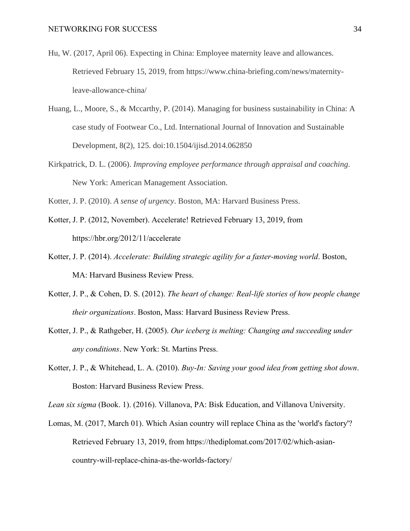- Hu, W. (2017, April 06). Expecting in China: Employee maternity leave and allowances. Retrieved February 15, 2019, from https://www.china-briefing.com/news/maternityleave-allowance-china/
- Huang, L., Moore, S., & Mccarthy, P. (2014). Managing for business sustainability in China: A case study of Footwear Co., Ltd. International Journal of Innovation and Sustainable Development, 8(2), 125. doi:10.1504/ijisd.2014.062850
- Kirkpatrick, D. L. (2006). *Improving employee performance through appraisal and coaching*. New York: American Management Association.
- Kotter, J. P. (2010). *A sense of urgency*. Boston, MA: Harvard Business Press.
- Kotter, J. P. (2012, November). Accelerate! Retrieved February 13, 2019, from https://hbr.org/2012/11/accelerate
- Kotter, J. P. (2014). *Accelerate: Building strategic agility for a faster-moving world*. Boston, MA: Harvard Business Review Press.
- Kotter, J. P., & Cohen, D. S. (2012). *The heart of change: Real-life stories of how people change their organizations*. Boston, Mass: Harvard Business Review Press.
- Kotter, J. P., & Rathgeber, H. (2005). *Our iceberg is melting: Changing and succeeding under any conditions*. New York: St. Martins Press.
- Kotter, J. P., & Whitehead, L. A. (2010). *Buy-In: Saving your good idea from getting shot down*. Boston: Harvard Business Review Press.
- *Lean six sigma* (Book. 1). (2016). Villanova, PA: Bisk Education, and Villanova University.
- Lomas, M. (2017, March 01). Which Asian country will replace China as the 'world's factory'? Retrieved February 13, 2019, from https://thediplomat.com/2017/02/which-asiancountry-will-replace-china-as-the-worlds-factory/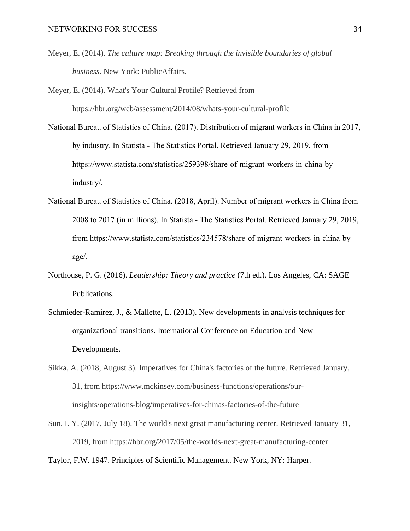- Meyer, E. (2014). *The culture map: Breaking through the invisible boundaries of global business*. New York: PublicAffairs.
- Meyer, E. (2014). What's Your Cultural Profile? Retrieved from https://hbr.org/web/assessment/2014/08/whats-your-cultural-profile
- National Bureau of Statistics of China. (2017). Distribution of migrant workers in China in 2017, by industry. In Statista - The Statistics Portal. Retrieved January 29, 2019, from https://www.statista.com/statistics/259398/share-of-migrant-workers-in-china-byindustry/.
- National Bureau of Statistics of China. (2018, April). Number of migrant workers in China from 2008 to 2017 (in millions). In Statista - The Statistics Portal. Retrieved January 29, 2019, from https://www.statista.com/statistics/234578/share-of-migrant-workers-in-china-byage/.
- Northouse, P. G. (2016). *Leadership: Theory and practice* (7th ed.). Los Angeles, CA: SAGE Publications.
- Schmieder-Ramirez, J., & Mallette, L. (2013). New developments in analysis techniques for organizational transitions. International Conference on Education and New Developments.
- Sikka, A. (2018, August 3). Imperatives for China's factories of the future. Retrieved January, 31, from https://www.mckinsey.com/business-functions/operations/ourinsights/operations-blog/imperatives-for-chinas-factories-of-the-future
- Sun, I. Y. (2017, July 18). The world's next great manufacturing center. Retrieved January 31, 2019, from https://hbr.org/2017/05/the-worlds-next-great-manufacturing-center
- Taylor, F.W. 1947. Principles of Scientific Management. New York, NY: Harper.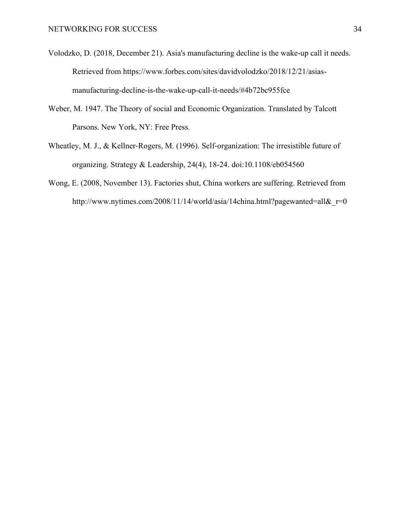- Volodzko, D. (2018, December 21). Asia's manufacturing decline is the wake-up call it needs. Retrieved from https://www.forbes.com/sites/davidvolodzko/2018/12/21/asiasmanufacturing-decline-is-the-wake-up-call-it-needs/#4b72bc955fce
- Weber, M. 1947. The Theory of social and Economic Organization. Translated by Talcott Parsons. New York, NY: Free Press.
- Wheatley, M. J., & Kellner-Rogers, M. (1996). Self-organization: The irresistible future of organizing. Strategy & Leadership, 24(4), 18-24. doi:10.1108/eb054560
- Wong, E. (2008, November 13). Factories shut, China workers are suffering. Retrieved from http://www.nytimes.com/2008/11/14/world/asia/14china.html?pagewanted=all&r=0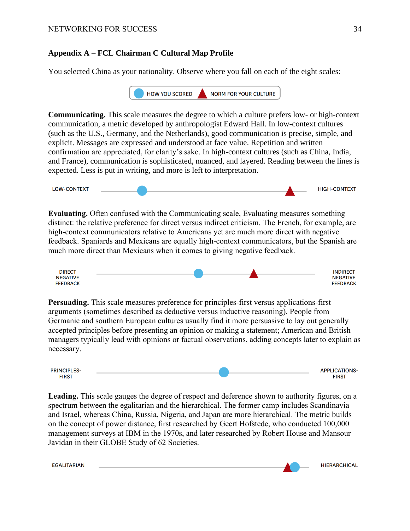## <span id="page-44-0"></span>**Appendix A – FCL Chairman C Cultural Map Profile**

You selected China as your nationality. Observe where you fall on each of the eight scales:



**Communicating.** This scale measures the degree to which a culture prefers low- or high-context communication, a metric developed by anthropologist Edward Hall. In low-context cultures (such as the U.S., Germany, and the Netherlands), good communication is precise, simple, and explicit. Messages are expressed and understood at face value. Repetition and written confirmation are appreciated, for clarity's sake. In high-context cultures (such as China, India, and France), communication is sophisticated, nuanced, and layered. Reading between the lines is expected. Less is put in writing, and more is left to interpretation.



**Evaluating.** Often confused with the Communicating scale, Evaluating measures something distinct: the relative preference for direct versus indirect criticism. The French, for example, are high-context communicators relative to Americans yet are much more direct with negative feedback. Spaniards and Mexicans are equally high-context communicators, but the Spanish are much more direct than Mexicans when it comes to giving negative feedback.

| <b>DIRECT</b>   |  | <b>INDIRECT</b>             |
|-----------------|--|-----------------------------|
| <b>NEGATIVE</b> |  | <b>GATIVE</b><br><b>NEC</b> |
| <b>FEEDBACK</b> |  | <b>FFFDRACK</b><br>ᇿ        |

**Persuading.** This scale measures preference for principles-first versus applications-first arguments (sometimes described as deductive versus inductive reasoning). People from Germanic and southern European cultures usually find it more persuasive to lay out generally accepted principles before presenting an opinion or making a statement; American and British managers typically lead with opinions or factual observations, adding concepts later to explain as necessary.

| <b>PRINCIPLES-</b> |  | <b>APPLICATIONS-</b> |
|--------------------|--|----------------------|
| <b>FIRST</b>       |  | <b>FIRST</b>         |

**Leading.** This scale gauges the degree of respect and deference shown to authority figures, on a spectrum between the egalitarian and the hierarchical. The former camp includes Scandinavia and Israel, whereas China, Russia, Nigeria, and Japan are more hierarchical. The metric builds on the concept of power distance, first researched by Geert Hofstede, who conducted 100,000 management surveys at IBM in the 1970s, and later researched by Robert House and Mansour Javidan in their GLOBE Study of 62 Societies.

**EGALITARIAN**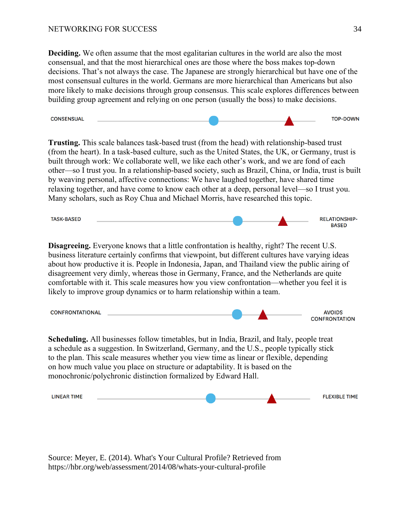**Deciding.** We often assume that the most egalitarian cultures in the world are also the most consensual, and that the most hierarchical ones are those where the boss makes top-down decisions. That's not always the case. The Japanese are strongly hierarchical but have one of the most consensual cultures in the world. Germans are more hierarchical than Americans but also more likely to make decisions through group consensus. This scale explores differences between building group agreement and relying on one person (usually the boss) to make decisions.



**Trusting.** This scale balances task-based trust (from the head) with relationship-based trust (from the heart). In a task-based culture, such as the United States, the UK, or Germany, trust is built through work: We collaborate well, we like each other's work, and we are fond of each other—so I trust you. In a relationship-based society, such as Brazil, China, or India, trust is built by weaving personal, affective connections: We have laughed together, have shared time relaxing together, and have come to know each other at a deep, personal level—so I trust you. Many scholars, such as Roy Chua and Michael Morris, have researched this topic.

**TASK-BASED RELATIONSHIP-BASED** 

**Disagreeing.** Everyone knows that a little confrontation is healthy, right? The recent U.S. business literature certainly confirms that viewpoint, but different cultures have varying ideas about how productive it is. People in Indonesia, Japan, and Thailand view the public airing of disagreement very dimly, whereas those in Germany, France, and the Netherlands are quite comfortable with it. This scale measures how you view confrontation—whether you feel it is likely to improve group dynamics or to harm relationship within a team.

**AVOIDS CONFRONTATIONAL CONFRONTATION** 

**Scheduling.** All businesses follow timetables, but in India, Brazil, and Italy, people treat a schedule as a suggestion. In Switzerland, Germany, and the U.S., people typically stick to the plan. This scale measures whether you view time as linear or flexible, depending on how much value you place on structure or adaptability. It is based on the monochronic/polychronic distinction formalized by Edward Hall.

**LINEAR TIME FLEXIBLE TIME** 

Source: Meyer, E. (2014). What's Your Cultural Profile? Retrieved from https://hbr.org/web/assessment/2014/08/whats-your-cultural-profile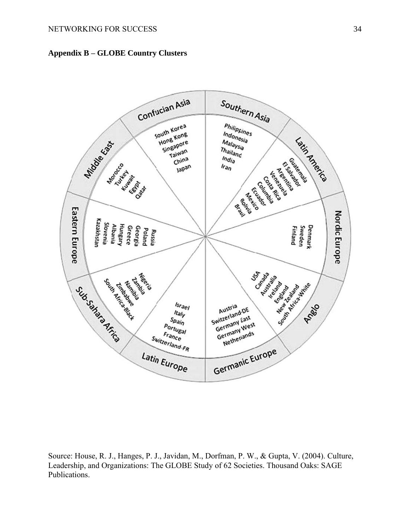<span id="page-46-0"></span>



Source: House, R. J., Hanges, P. J., Javidan, M., Dorfman, P. W., & Gupta, V. (2004). Culture, Leadership, and Organizations: The GLOBE Study of 62 Societies. Thousand Oaks: SAGE Publications.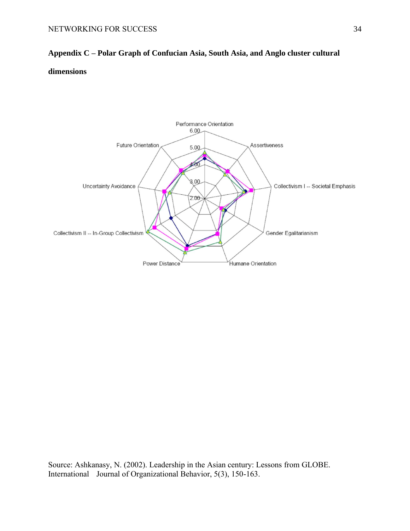# <span id="page-47-0"></span>**Appendix C – Polar Graph of Confucian Asia, South Asia, and Anglo cluster cultural dimensions**



Source: Ashkanasy, N. (2002). Leadership in the Asian century: Lessons from GLOBE. International Journal of Organizational Behavior, 5(3), 150-163.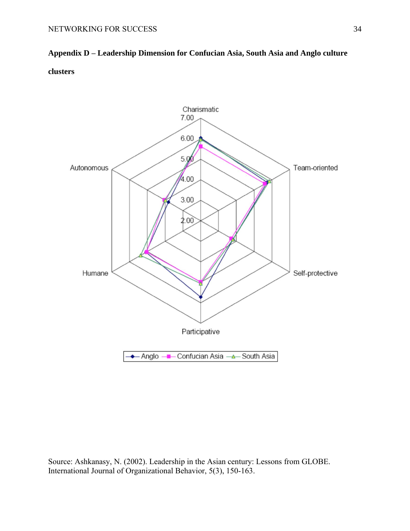<span id="page-48-0"></span>**Appendix D – Leadership Dimension for Confucian Asia, South Asia and Anglo culture clusters**



Source: Ashkanasy, N. (2002). Leadership in the Asian century: Lessons from GLOBE. International Journal of Organizational Behavior, 5(3), 150-163.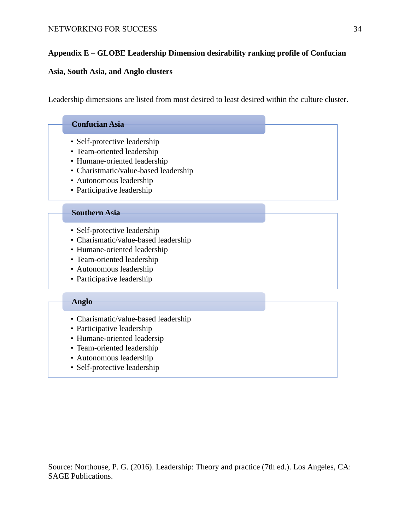# <span id="page-49-0"></span>**Appendix E – GLOBE Leadership Dimension desirability ranking profile of Confucian**

## **Asia, South Asia, and Anglo clusters**

Leadership dimensions are listed from most desired to least desired within the culture cluster.

| <b>Confucian Asia</b>                                                                                                                                                                       |
|---------------------------------------------------------------------------------------------------------------------------------------------------------------------------------------------|
| • Self-protective leadership<br>• Team-oriented leadership<br>• Humane-oriented leadership                                                                                                  |
| • Charistmatic/value-based leadership<br>• Autonomous leadership<br>• Participative leadership                                                                                              |
| <b>Southern Asia</b>                                                                                                                                                                        |
| • Self-protective leadership<br>• Charismatic/value-based leadership<br>• Humane-oriented leadership<br>• Team-oriented leadership<br>• Autonomous leadership<br>• Participative leadership |
| Anglo                                                                                                                                                                                       |
| • Charismatic/value-based leadership<br>• Participative leadership                                                                                                                          |
| • Humane-oriented leadersip<br>• Team-oriented leadership                                                                                                                                   |
| • Autonomous leadership                                                                                                                                                                     |

Source: Northouse, P. G. (2016). Leadership: Theory and practice (7th ed.). Los Angeles, CA: SAGE Publications.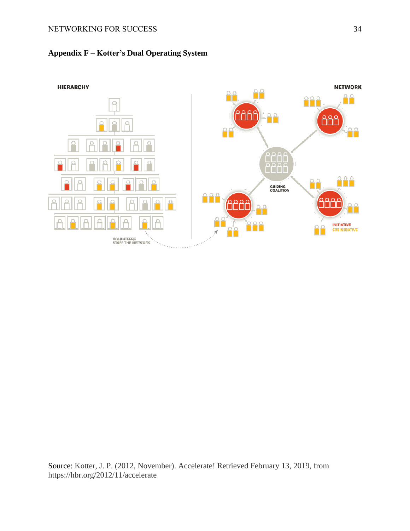# <span id="page-50-0"></span>**Appendix F – Kotter's Dual Operating System**



Source: Kotter, J. P. (2012, November). Accelerate! Retrieved February 13, 2019, from https://hbr.org/2012/11/accelerate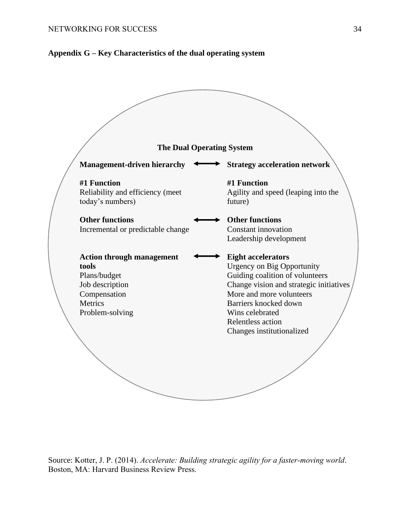## <span id="page-51-0"></span>**Appendix G – Key Characteristics of the dual operating system**



Source: Kotter, J. P. (2014). *Accelerate: Building strategic agility for a faster-moving world*. Boston, MA: Harvard Business Review Press.